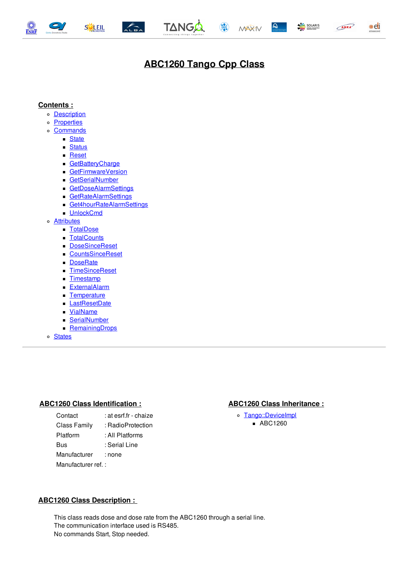<span id="page-0-0"></span>







 $\mathbf{Q}$ 





ANKA

# **ABC1260 Tango Cpp Class**

## **Contents :**

- o **[Description](#page-0-0)**
- o **[Properties](#page-0-0)**
- o [Commands](#page-0-0)
	- **[State](#page-0-0)** 
		- **[Status](#page-0-0)**
		- **[Reset](#page-0-0)**
		- **[GetBatteryCharge](#page-0-0)**
		- [GetFirmwareVersion](#page-0-0)
		- [GetSerialNumber](#page-0-0)
		- [GetDoseAlarmSettings](#page-0-0)
		- [GetRateAlarmSettings](#page-0-0)
		- [Get4hourRateAlarmSettings](#page-0-0)  $\blacksquare$
		- **[UnlockCmd](#page-0-0)**
- o **[Attributes](#page-0-0)** 
	- [TotalDose](#page-0-0)
	- [TotalCounts](#page-0-0)
	- [DoseSinceReset](#page-0-0)
	- [CountsSinceReset](#page-0-0)
	- **[DoseRate](#page-0-0)**
	- [TimeSinceReset](#page-0-0)
	- **[Timestamp](#page-0-0)**
	- **[ExternalAlarm](#page-0-0)**
	- **[Temperature](#page-0-0)**
	- [LastResetDate](#page-0-0)
	- [VialName](#page-0-0)
	- $\blacksquare$ **[SerialNumber](#page-0-0)**
	- **[RemainingDrops](#page-0-0)**
- o [States](#page-0-0)

#### **ABC1260 Class Identification : ABC1260 Class Inheritance :**

Contact : at esrf.fr - chaize Class Family : RadioProtection Platform : All Platforms Bus : Serial Line Manufacturer : none Manufacturer ref. :

[Tango::DeviceImpl](http://www.esrf.eu/computing/cs/tango/tango_doc/kernel_doc/cpp_doc/) ■ ABC1260

## **ABC1260 Class Description :**

This class reads dose and dose rate from the ABC1260 through a serial line. The communication interface used is RS485. No commands Start, Stop needed.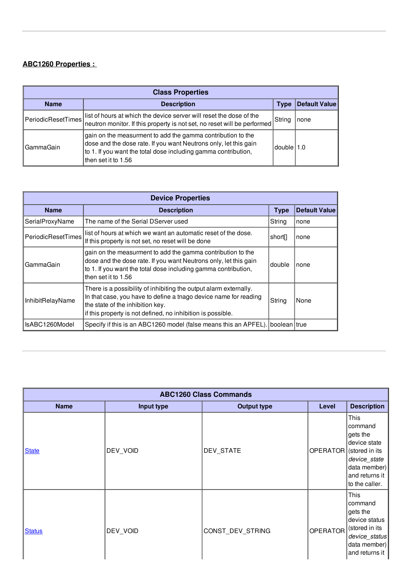## **ABC1260 Properties :**

| <b>Class Properties</b>           |                                                                                                                                                                                                                           |              |               |  |
|-----------------------------------|---------------------------------------------------------------------------------------------------------------------------------------------------------------------------------------------------------------------------|--------------|---------------|--|
| <b>Name</b><br><b>Description</b> |                                                                                                                                                                                                                           | <b>Type</b>  | Default Value |  |
| PeriodicResetTimes                | list of hours at which the device server will reset the dose of the<br>neutron monitor. If this property is not set, no reset will be performed                                                                           | String       | none          |  |
| GammaGain                         | gain on the measurment to add the gamma contribution to the<br>dose and the dose rate. If you want Neutrons only, let this gain<br>to 1. If you want the total dose including gamma contribution,<br>lthen set it to 1.56 | $double$ 1.0 |               |  |

| <b>Device Properties</b> |                                                                                                                                                                                                                                          |                     |                      |  |
|--------------------------|------------------------------------------------------------------------------------------------------------------------------------------------------------------------------------------------------------------------------------------|---------------------|----------------------|--|
| <b>Name</b>              | <b>Description</b>                                                                                                                                                                                                                       | <b>Type</b>         | <b>Default Value</b> |  |
| SerialProxyName          | The name of the Serial DServer used                                                                                                                                                                                                      | String              | none                 |  |
| PeriodicResetTimes       | list of hours at which we want an automatic reset of the dose.<br>If this property is not set, no reset will be done                                                                                                                     | short <sup>[]</sup> | none                 |  |
| GammaGain                | gain on the measurment to add the gamma contribution to the<br>dose and the dose rate. If you want Neutrons only, let this gain<br>to 1. If you want the total dose including gamma contribution,<br>then set it to 1.56                 | double              | none                 |  |
| InhibitRelayName         | There is a possibility of inhibiting the output alarm externally.<br>In that case, you have to define a tnago device name for reading<br>the state of the inhibition key.<br>if this property is not defined, no inhibition is possible. | String              | None                 |  |
| IsABC1260Model           | Specify if this is an ABC1260 model (false means this an APFEL).                                                                                                                                                                         | boolean true        |                      |  |

| <b>ABC1260 Class Commands</b> |            |                    |                 |                                                                                                                                   |
|-------------------------------|------------|--------------------|-----------------|-----------------------------------------------------------------------------------------------------------------------------------|
| <b>Name</b>                   | Input type | <b>Output type</b> | Level           | <b>Description</b>                                                                                                                |
| <b>State</b>                  | DEV_VOID   | DEV_STATE          | OPERATOR        | This<br>command<br>gets the<br>device state<br>(stored in its<br>device_state<br>data member)<br>and returns it<br>to the caller. |
| <b>Status</b>                 | DEV_VOID   | CONST_DEV_STRING   | <b>OPERATOR</b> | This<br>command<br>gets the<br>device status<br>(stored in its<br>device_status<br>data member)<br>and returns it                 |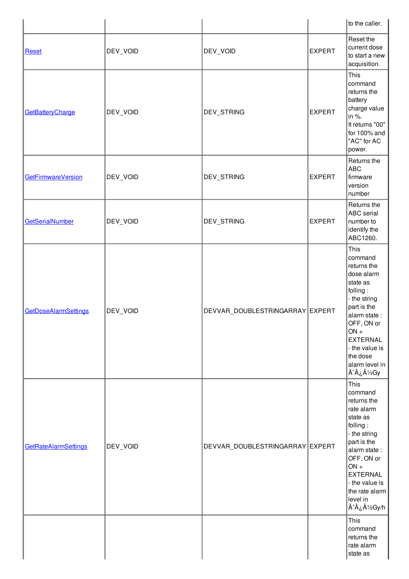|                             |          |                                 |               | to the caller.                                                                                                                                                                                                                          |
|-----------------------------|----------|---------------------------------|---------------|-----------------------------------------------------------------------------------------------------------------------------------------------------------------------------------------------------------------------------------------|
| Reset                       | DEV_VOID | DEV_VOID                        | <b>EXPERT</b> | Reset the<br>current dose<br>to start a new<br>acquisition.                                                                                                                                                                             |
| GetBatteryCharge            | DEV_VOID | DEV_STRING                      | <b>EXPERT</b> | This<br>command<br>returns the<br>battery<br>charge value<br>in %.<br>It returns "00"<br>for 100% and<br>"AC" for AC<br>power.                                                                                                          |
| <b>GetFirmwareVersion</b>   | DEV_VOID | DEV_STRING                      | <b>EXPERT</b> | Returns the<br><b>ABC</b><br>firmware<br>version<br>number                                                                                                                                                                              |
| GetSerialNumber             | DEV_VOID | DEV_STRING                      | <b>EXPERT</b> | Returns the<br><b>ABC</b> serial<br>number to<br>identify the<br>ABC1260.                                                                                                                                                               |
| <b>GetDoseAlarmSettings</b> | DEV_VOID | DEVVAR_DOUBLESTRINGARRAY EXPERT |               | This<br>command<br>returns the<br>dose alarm<br>state as<br>folling:<br>- the string<br>part is the<br>alarm state:<br>OFF, ON or<br>$ON +$<br><b>EXTERNAL</b><br>- the value is<br>the dose<br>alarm level in<br>Ã <sup>-</sup> ¿½Gy   |
| <b>GetRateAlarmSettings</b> | DEV_VOID | DEVVAR_DOUBLESTRINGARRAY EXPERT |               | This<br>command<br>returns the<br>rate alarm<br>state as<br>folling:<br>- the string<br>part is the<br>alarm state:<br>OFF, ON or<br>$ON +$<br><b>EXTERNAL</b><br>- the value is<br>the rate alarm<br>level in<br>Ã <sup>-</sup> ¿½Gy/h |
|                             |          |                                 |               | This<br>command<br>returns the<br>rate alarm<br>state as                                                                                                                                                                                |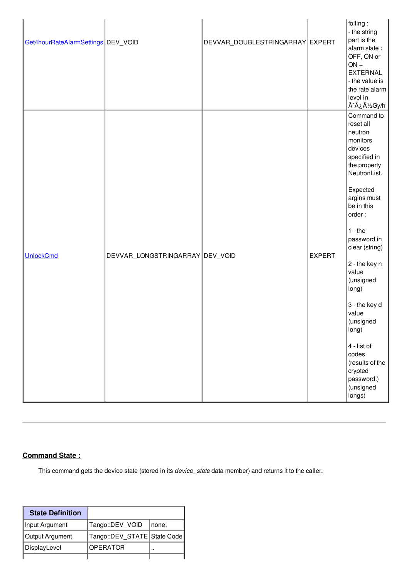| Get4hourRateAlarmSettings DEV_VOID |                                 | DEVVAR_DOUBLESTRINGARRAY EXPERT |               | folling:<br>- the string<br>part is the<br>alarm state:<br>OFF, ON or<br>$ON +$<br>EXTERNAL<br>- the value is<br>the rate alarm<br>level in<br><u>Ã<sup>-</sup>¿½Gy/h</u>                                                                                                                                                                                                                             |
|------------------------------------|---------------------------------|---------------------------------|---------------|-------------------------------------------------------------------------------------------------------------------------------------------------------------------------------------------------------------------------------------------------------------------------------------------------------------------------------------------------------------------------------------------------------|
| <b>UnlockCmd</b>                   | DEVVAR_LONGSTRINGARRAY DEV_VOID |                                 | <b>EXPERT</b> | Command to<br>reset all<br>neutron<br>monitors<br>devices<br>specified in<br>the property<br>NeutronList.<br>Expected<br>argins must<br>be in this<br>order:<br>$1 -$ the<br>password in<br>clear (string)<br>2 - the key n<br>value<br>(unsigned<br>long)<br>3 - the key d<br>value<br>(unsigned<br>long)<br>4 - list of<br>codes<br>(results of the<br>crypted<br>password.)<br>(unsigned<br>longs) |

## **Command State :**

This command gets the device state (stored in its *device\_state* data member) and returns it to the caller.

| <b>State Definition</b> |                               |       |
|-------------------------|-------------------------------|-------|
| Input Argument          | Tango::DEV_VOID               | none. |
| Output Argument         | Tango::DEV_STATE   State Code |       |
| DisplayLevel            | <b>OPERATOR</b>               |       |
|                         |                               |       |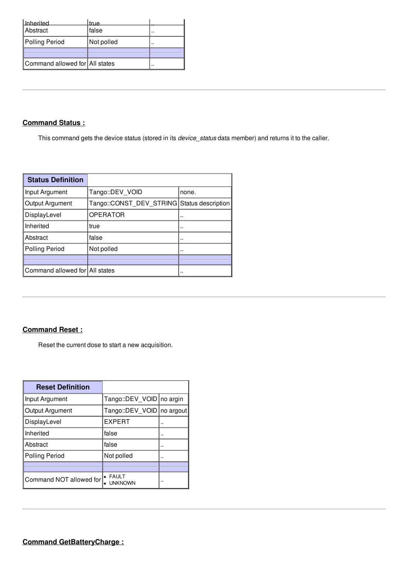|                                | true       |  |
|--------------------------------|------------|--|
| Inherited<br>Abstract          | false      |  |
| Polling Period                 | Not polled |  |
|                                |            |  |
| Command allowed for All states |            |  |

## **Command Status :**

This command gets the device status (stored in its *device\_status* data member) and returns it to the caller.

| <b>Status Definition</b>       |                                            |       |
|--------------------------------|--------------------------------------------|-------|
| Input Argument                 | Tango::DEV VOID                            | none. |
| Output Argument                | Tango::CONST DEV STRING Status description |       |
| DisplayLevel                   | <b>OPERATOR</b>                            |       |
| Inherited                      | true                                       |       |
| Abstract                       | false                                      |       |
| <b>Polling Period</b>          | Not polled                                 |       |
|                                |                                            |       |
| Command allowed for All states |                                            |       |

## **Command Reset :**

Reset the current dose to start a new acquisition.

| <b>Reset Definition</b> |                             |  |
|-------------------------|-----------------------------|--|
| Input Argument          | Tango::DEV_VOID   no argin  |  |
| Output Argument         | Tango::DEV_VOID   no argout |  |
| DisplayLevel            | <b>EXPERT</b>               |  |
| Inherited               | false                       |  |
| Abstract                | false                       |  |
| <b>Polling Period</b>   | Not polled                  |  |
|                         |                             |  |
| Command NOT allowed for | • FAULT<br><b>UNKNOWN</b>   |  |

**Command GetBatteryCharge :**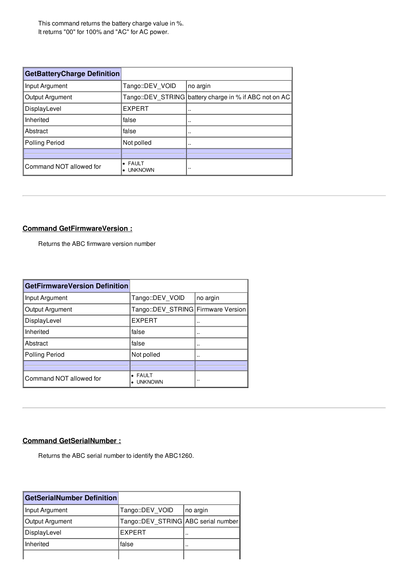This command returns the battery charge value in %. It returns "00" for 100% and "AC" for AC power.

| <b>GetBatteryCharge Definition</b> |                      |                                                        |
|------------------------------------|----------------------|--------------------------------------------------------|
| Input Argument                     | Tango::DEV VOID      | no argin                                               |
| Output Argument                    |                      | Tango::DEV_STRING battery charge in % if ABC not on AC |
| DisplayLevel                       | <b>EXPERT</b>        |                                                        |
| Inherited                          | false                | $\cdot$ .                                              |
| Abstract                           | false                | $\cdots$                                               |
| <b>Polling Period</b>              | Not polled           | $\cdot$                                                |
|                                    |                      |                                                        |
| Command NOT allowed for            | • FAULT<br>• UNKNOWN | $\cdot$                                                |

## **Command GetFirmwareVersion :**

Returns the ABC firmware version number

| <b>GetFirmwareVersion Definition</b> |                                        |          |
|--------------------------------------|----------------------------------------|----------|
| Input Argument                       | Tango::DEV VOID                        | no argin |
| Output Argument                      | Tango::DEV STRING Firmware Version     |          |
| DisplayLevel                         | <b>EXPERT</b>                          |          |
| Inherited                            | false                                  |          |
| Abstract                             | false                                  |          |
| <b>Polling Period</b>                | Not polled                             |          |
|                                      |                                        |          |
| Command NOT allowed for              | • FAULT<br><b>UNKNOWN</b><br>$\bullet$ | $\cdots$ |

## **Command GetSerialNumber :**

Returns the ABC serial number to identify the ABC1260.

| GetSerialNumber Definition |                                       |           |
|----------------------------|---------------------------------------|-----------|
| Input Argument             | Tango::DEV VOID                       | no argin  |
| Output Argument            | Tango::DEV STRING   ABC serial number |           |
| DisplayLevel               | EXPERT                                | $\cdot$   |
| Inherited                  | false                                 | $\cdot$ . |
|                            |                                       |           |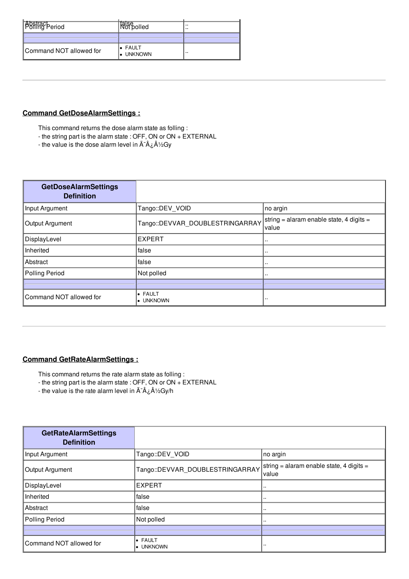| <b>Abstract</b><br><b>Politic</b> Period | talse<br>Not polled          | <br> |
|------------------------------------------|------------------------------|------|
|                                          |                              |      |
| Command NOT allowed for                  | l• FAULT<br><b>.</b> UNKNOWN |      |

## **Command GetDoseAlarmSettings :**

This command returns the dose alarm state as folling :

- the string part is the alarm state : OFF, ON or ON + EXTERNAL
- the value is the dose alarm level in  $\tilde{A}^{-}\hat{A}$   $\hat{\Delta}^{1/2}$ Gy

| <b>GetDoseAlarmSettings</b><br><b>Definition</b> |                                 |                                                   |
|--------------------------------------------------|---------------------------------|---------------------------------------------------|
| Input Argument                                   | Tango::DEV_VOID                 | no argin                                          |
| Output Argument                                  | Tango::DEVVAR_DOUBLESTRINGARRAY | string = alaram enable state, 4 digits =<br>value |
| DisplayLevel                                     | <b>EXPERT</b>                   |                                                   |
| Inherited                                        | false                           |                                                   |
| Abstract                                         | false                           |                                                   |
| Polling Period                                   | Not polled                      |                                                   |
|                                                  |                                 |                                                   |
| Command NOT allowed for                          | • FAULT<br>$\bullet$ UNKNOWN    |                                                   |

## **Command GetRateAlarmSettings :**

- This command returns the rate alarm state as folling :
- the string part is the alarm state : OFF, ON or ON + EXTERNAL
- the value is the rate alarm level in  $\tilde{A}^{-1}\hat{A}$   $\hat{\lambda}^{1/2}$ Gy/h

| <b>GetRateAlarmSettings</b><br><b>Definition</b> |                                 |                                                   |
|--------------------------------------------------|---------------------------------|---------------------------------------------------|
| Input Argument                                   | Tango::DEV VOID                 | no argin                                          |
| Output Argument                                  | Tango::DEVVAR_DOUBLESTRINGARRAY | string = alaram enable state, 4 digits =<br>value |
| DisplayLevel                                     | <b>EXPERT</b>                   |                                                   |
| Inherited                                        | lfalse                          |                                                   |
| Abstract                                         | lfalse                          |                                                   |
| <b>Polling Period</b>                            | Not polled                      |                                                   |
|                                                  |                                 |                                                   |
| Command NOT allowed for                          | $\bullet$ FAULT<br>• UNKNOWN    | $\cdot$ .                                         |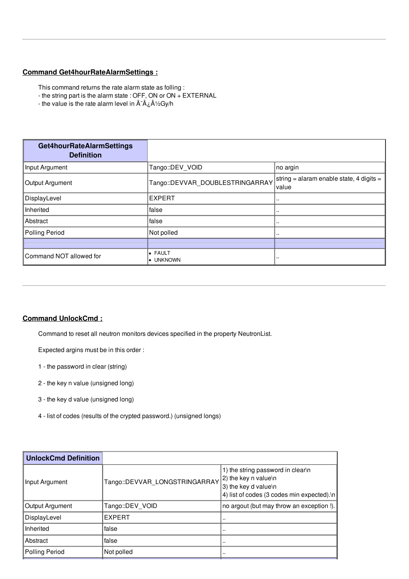## **Command Get4hourRateAlarmSettings :**

This command returns the rate alarm state as folling :

- the string part is the alarm state : OFF, ON or ON + EXTERNAL
- the value is the rate alarm level in  $\tilde{A}^{-1}\hat{A}$   $\lambda$  /2Gy/h

| Get4hourRateAlarmSettings<br><b>Definition</b> |                                  |                                                   |
|------------------------------------------------|----------------------------------|---------------------------------------------------|
| Input Argument                                 | Tango::DEV VOID                  | no argin                                          |
| Output Argument                                | Tango::DEVVAR_DOUBLESTRINGARRAY  | string = alaram enable state, 4 digits =<br>value |
| DisplayLevel                                   | <b>EXPERT</b>                    |                                                   |
| Inherited                                      | false                            |                                                   |
| Abstract                                       | false                            |                                                   |
| <b>Polling Period</b>                          | Not polled                       |                                                   |
|                                                |                                  |                                                   |
| Command NOT allowed for                        | <b>• FAULT</b><br><b>UNKNOWN</b> | $\cdots$                                          |

#### **Command UnlockCmd :**

Command to reset all neutron monitors devices specified in the property NeutronList.

Expected argins must be in this order :

- 1 the password in clear (string)
- 2 the key n value (unsigned long)
- 3 the key d value (unsigned long)
- 4 list of codes (results of the crypted password.) (unsigned longs)

| Tango::DEVVAR LONGSTRINGARRAY | 1) the string password in clear\n<br>2) the key n value\n<br>$ 3$ ) the key d value\n<br>4) list of codes (3 codes min expected).\n |
|-------------------------------|-------------------------------------------------------------------------------------------------------------------------------------|
| Tango::DEV VOID               | no argout (but may throw an exception !).                                                                                           |
| <b>EXPERT</b>                 |                                                                                                                                     |
| false                         |                                                                                                                                     |
| false                         |                                                                                                                                     |
| Not polled                    |                                                                                                                                     |
|                               |                                                                                                                                     |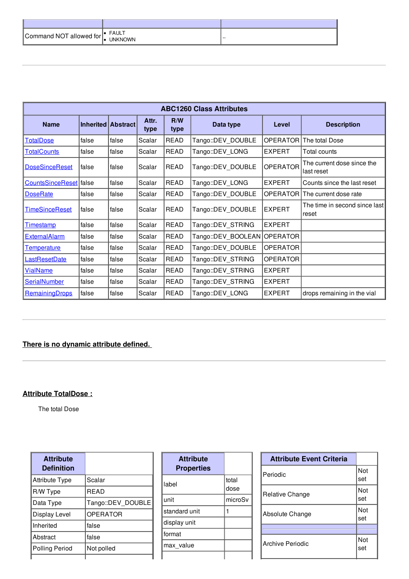| Command NOT allowed for | <b>FAULT</b><br><b>UNKNOWN</b> |  |
|-------------------------|--------------------------------|--|

| <b>ABC1260 Class Attributes</b> |                    |       |               |             |                    |                 |                                          |
|---------------------------------|--------------------|-------|---------------|-------------|--------------------|-----------------|------------------------------------------|
| <b>Name</b>                     | Inherited Abstract |       | Attr.<br>type | R/W<br>type | Data type          | Level           | <b>Description</b>                       |
| TotalDose                       | false              | false | Scalar        | <b>READ</b> | Tango::DEV_DOUBLE  | <b>OPERATOR</b> | The total Dose                           |
| <b>TotalCounts</b>              | false              | false | Scalar        | READ        | Tango::DEV_LONG    | <b>EXPERT</b>   | Total counts                             |
| <b>DoseSinceReset</b>           | false              | false | Scalar        | <b>READ</b> | Tango::DEV_DOUBLE  | <b>OPERATOR</b> | The current dose since the<br>last reset |
| CountsSinceReset false          |                    | false | Scalar        | <b>READ</b> | Tango::DEV LONG    | <b>EXPERT</b>   | Counts since the last reset              |
| <b>DoseRate</b>                 | false              | false | Scalar        | READ        | Tango::DEV_DOUBLE  | <b>OPERATOR</b> | The current dose rate                    |
| <b>TimeSinceReset</b>           | false              | false | Scalar        | <b>READ</b> | Tango::DEV DOUBLE  | <b>EXPERT</b>   | The time in second since last<br>reset   |
| <u>Timestamp</u>                | false              | false | Scalar        | <b>READ</b> | Tango::DEV_STRING  | <b>EXPERT</b>   |                                          |
| <b>ExternalAlarm</b>            | false              | false | Scalar        | <b>READ</b> | Tango::DEV BOOLEAN | <b>OPERATOR</b> |                                          |
| Temperature                     | false              | false | Scalar        | <b>READ</b> | Tango::DEV DOUBLE  | <b>OPERATOR</b> |                                          |
| LastResetDate                   | false              | false | Scalar        | <b>READ</b> | Tango::DEV STRING  | <b>OPERATOR</b> |                                          |
| <b>VialName</b>                 | false              | false | Scalar        | READ        | Tango::DEV_STRING  | <b>EXPERT</b>   |                                          |
| SerialNumber                    | false              | false | Scalar        | READ        | Tango::DEV_STRING  | <b>EXPERT</b>   |                                          |
| <b>RemainingDrops</b>           | false              | false | Scalar        | READ        | Tango::DEV LONG    | <b>EXPERT</b>   | drops remaining in the vial              |

## **There is no dynamic attribute defined.**

## **Attribute TotalDose :**

The total Dose

| <b>Attribute</b><br><b>Definition</b> |                   |
|---------------------------------------|-------------------|
| <b>Attribute Type</b>                 | Scalar            |
| R/W Type                              | <b>READ</b>       |
| Data Type                             | Tango::DEV DOUBLE |
| Display Level                         | <b>OPERATOR</b>   |
| Inherited                             | false             |
| Abstract                              | false             |
| <b>Polling Period</b>                 | Not polled        |
|                                       |                   |

| <b>Attribute</b><br><b>Properties</b> |               |
|---------------------------------------|---------------|
| label                                 | total<br>dose |
| unit                                  | microSv       |
| standard unit                         |               |
| display unit                          |               |
| format                                |               |
| max value                             |               |
|                                       |               |

| <b>Attribute Event Criteria</b> |            |
|---------------------------------|------------|
| Periodic                        | Not<br>set |
| Relative Change                 | Not<br>set |
| Absolute Change                 | Not<br>set |
|                                 |            |
| Archive Periodic                | Not<br>set |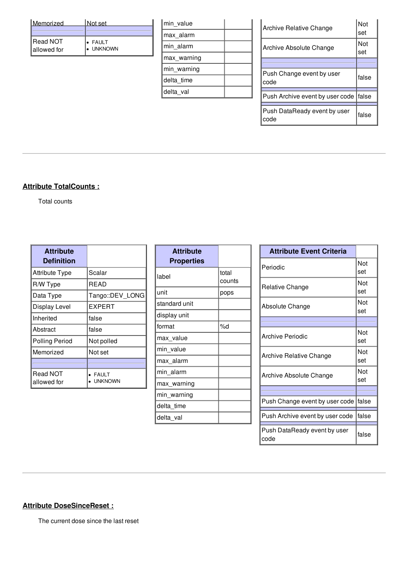| Memorized                  | Not set                   |
|----------------------------|---------------------------|
|                            |                           |
| l Read NOT<br>lallowed for | <b>FAULT</b><br>• UNKNOWN |
|                            |                           |

| max alarm<br>min alarm<br>max warning<br>min warning<br>delta time<br>delta val | min value |  |
|---------------------------------------------------------------------------------|-----------|--|
|                                                                                 |           |  |
|                                                                                 |           |  |
|                                                                                 |           |  |
|                                                                                 |           |  |
|                                                                                 |           |  |
|                                                                                 |           |  |

| Archive Relative Change              | Not<br>set |
|--------------------------------------|------------|
| Archive Absolute Change              | Not<br>set |
|                                      |            |
| Push Change event by user<br>code    | false      |
| Push Archive event by user code      | lfalse     |
|                                      |            |
| Push DataReady event by user<br>code | false      |

## **Attribute TotalCounts :**

Total counts

| <b>Attribute</b><br><b>Definition</b> |                         |
|---------------------------------------|-------------------------|
| <b>Attribute Type</b>                 | Scalar                  |
| R/W Type                              | <b>READ</b>             |
| Data Type                             | Tango::DEV LONG         |
| Display Level                         | EXPERT                  |
| Inherited                             | false                   |
| Abstract                              | false                   |
| <b>Polling Period</b>                 | Not polled              |
| Memorized                             | Not set                 |
|                                       |                         |
| Read NOT<br>allowed for               | <b>FAULT</b><br>UNKNOWN |

| <b>Attribute</b><br><b>Properties</b> |                 |
|---------------------------------------|-----------------|
| label                                 | total<br>counts |
| unit                                  | pops            |
| standard unit                         |                 |
| display unit                          |                 |
| format                                | %d              |
| max_value                             |                 |
| min value                             |                 |
| max alarm                             |                 |
| min alarm                             |                 |
| max warning                           |                 |
| min_warning                           |                 |
| delta time                            |                 |
| delta_val                             |                 |

| <b>Attribute Event Criteria</b>        |            |
|----------------------------------------|------------|
| Periodic                               | Not<br>set |
| Relative Change                        | Not<br>set |
| Absolute Change                        | Not<br>set |
|                                        |            |
| <b>Archive Periodic</b>                | Not<br>set |
| <b>Archive Relative Change</b>         | Not<br>set |
| Archive Absolute Change                | Not<br>set |
|                                        |            |
| Push Change event by user code   false |            |
| Push Archive event by user code        | lfalse     |
| Push DataReady event by user<br>code   | false      |

## **Attribute DoseSinceReset :**

The current dose since the last reset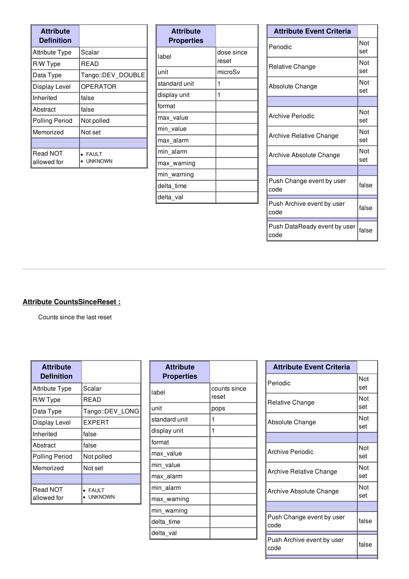| <b>Attribute</b><br><b>Definition</b> |                                |
|---------------------------------------|--------------------------------|
| <b>Attribute Type</b>                 | Scalar                         |
| R/W Type                              | READ                           |
| Data Type                             | Tango::DEV DOUBLE              |
| Display Level                         | <b>OPERATOR</b>                |
| Inherited                             | false                          |
| Abstract                              | false                          |
| <b>Polling Period</b>                 | Not polled                     |
| Memorized                             | Not set                        |
|                                       |                                |
| Read NOT<br>allowed for               | <b>FAULT</b><br><b>UNKNOWN</b> |

| <b>Attribute</b><br><b>Properties</b> |                     |
|---------------------------------------|---------------------|
| label                                 | dose since<br>reset |
| unit                                  | microSv             |
| standard unit                         | 1                   |
| display unit                          | 1                   |
| format                                |                     |
| max value                             |                     |
| min value                             |                     |
| max alarm                             |                     |
| min alarm                             |                     |
| max warning                           |                     |
| min warning                           |                     |
| delta time                            |                     |
| delta_val                             |                     |

| <b>Attribute Event Criteria</b>      |            |
|--------------------------------------|------------|
| Periodic                             | Not<br>set |
| <b>Relative Change</b>               | Not<br>set |
| Absolute Change                      | Not<br>set |
|                                      |            |
| <b>Archive Periodic</b>              | Not<br>set |
| Archive Relative Change              | Not<br>set |
| Archive Absolute Change              | Not<br>set |
|                                      |            |
| Push Change event by user<br>code    | false      |
| Push Archive event by user<br>code   | false      |
| Push DataReady event by user<br>code | false      |

## **Attribute CountsSinceReset :**

Counts since the last reset

| <b>Attribute</b><br><b>Definition</b> |                                |
|---------------------------------------|--------------------------------|
| Attribute Type                        | Scalar                         |
| R/W Type                              | READ                           |
| Data Type                             | Tango::DEV LONG                |
| Display Level                         | EXPERT                         |
| Inherited                             | false                          |
| Abstract                              | false                          |
| <b>Polling Period</b>                 | Not polled                     |
| Memorized                             | Not set                        |
|                                       |                                |
| Read NOT<br>allowed for               | <b>FAULT</b><br><b>UNKNOWN</b> |

| <b>Attribute</b><br><b>Properties</b> |                       |
|---------------------------------------|-----------------------|
| label                                 | counts since<br>reset |
| unit                                  | pops                  |
| standard unit                         | 1                     |
| display unit                          | 1                     |
| format                                |                       |
| max_value                             |                       |
| min value                             |                       |
| max_alarm                             |                       |
| min alarm                             |                       |
| max warning                           |                       |
| min_warning                           |                       |
| delta time                            |                       |
| delta_val                             |                       |

| <b>Attribute Event Criteria</b>    |            |
|------------------------------------|------------|
| Periodic                           | Not<br>set |
| Relative Change                    | Not<br>set |
| Absolute Change                    | Not<br>set |
|                                    |            |
| Archive Periodic                   | Not<br>set |
| Archive Relative Change            | Not<br>set |
| Archive Absolute Change            | Not<br>set |
|                                    |            |
| Push Change event by user<br>code  | false      |
| Push Archive event by user<br>code | false      |
|                                    |            |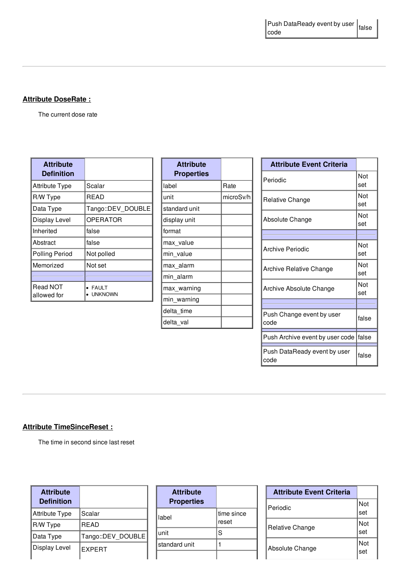## **Attribute DoseRate :**

The current dose rate

| <b>Attribute</b><br><b>Definition</b> |                         |
|---------------------------------------|-------------------------|
| <b>Attribute Type</b>                 | Scalar                  |
| R/W Type                              | READ                    |
| Data Type                             | Tango::DEV DOUBLE       |
| Display Level                         | OPERATOR                |
| Inherited                             | false                   |
| Abstract                              | false                   |
| <b>Polling Period</b>                 | Not polled              |
| Memorized                             | Not set                 |
|                                       |                         |
| <b>Read NOT</b><br>allowed for        | FAULT<br><b>UNKNOWN</b> |

| <b>Attribute</b><br><b>Properties</b> |           |
|---------------------------------------|-----------|
| label                                 | Rate      |
| unit                                  | microSv/h |
| standard unit                         |           |
| display unit                          |           |
| format                                |           |
| max_value                             |           |
| min value                             |           |
| max_alarm                             |           |
| min_alarm                             |           |
| max warning                           |           |
| min_warning                           |           |
| delta time                            |           |
| delta val                             |           |

| <b>Attribute Event Criteria</b>      |            |
|--------------------------------------|------------|
| Periodic                             | Not<br>set |
| Relative Change                      | Not<br>set |
| Absolute Change                      | Not<br>set |
|                                      |            |
| <b>Archive Periodic</b>              | Not<br>set |
| Archive Relative Change              | Not<br>set |
| Archive Absolute Change              | Not<br>set |
|                                      |            |
| Push Change event by user<br>code    | false      |
| Push Archive event by user code      | false      |
| Push DataReady event by user<br>code | false      |

## **Attribute TimeSinceReset :**

The time in second since last reset

| <b>Attribute</b><br><b>Definition</b> |                   |
|---------------------------------------|-------------------|
| Attribute Type                        | Scalar            |
| R/W Type                              | <b>READ</b>       |
| Data Type                             | Tango::DEV DOUBLE |
| Display Level                         | <b>EXPERT</b>     |

| <b>Attribute</b><br><b>Properties</b> |                      |
|---------------------------------------|----------------------|
| label                                 | ltime since<br>reset |
| unit                                  | S                    |
| standard unit                         |                      |
|                                       |                      |

| <b>Attribute Event Criteria</b> |            |
|---------------------------------|------------|
| Periodic                        | Not<br>set |
| Relative Change                 | Not<br>set |
| Absolute Change                 | Not<br>set |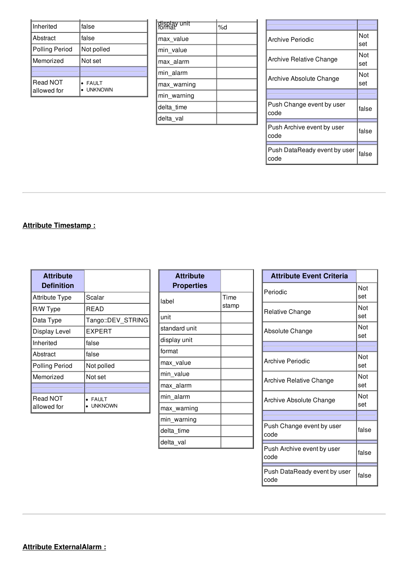| Inherited               | lfalse                         |
|-------------------------|--------------------------------|
| Abstract                | false                          |
| Polling Period          | Not polled                     |
| Memorized               | Not set                        |
|                         |                                |
| Read NOT<br>allowed for | <b>FAULT</b><br><b>UNKNOWN</b> |

| display unit<br>format | %d |
|------------------------|----|
| max value              |    |
| min value              |    |
| max_alarm              |    |
| min alarm              |    |
| max warning            |    |
| min_warning            |    |
| delta time             |    |
| delta_val              |    |

| Archive Periodic                     | Not<br>set |
|--------------------------------------|------------|
| Archive Relative Change              | Not<br>set |
| Archive Absolute Change              | Not<br>set |
|                                      |            |
| Push Change event by user<br>code    | false      |
| Push Archive event by user<br>code   | false      |
| Push DataReady event by user<br>code | false      |

## **Attribute Timestamp :**

| <b>Attribute</b><br><b>Definition</b> |                                |
|---------------------------------------|--------------------------------|
| <b>Attribute Type</b>                 | Scalar                         |
| R/W Type                              | READ                           |
| Data Type                             | Tango::DEV STRING              |
| Display Level                         | <b>EXPERT</b>                  |
| Inherited                             | false                          |
| Abstract                              | false                          |
| <b>Polling Period</b>                 | Not polled                     |
| Memorized                             | Not set                        |
|                                       |                                |
| <b>Read NOT</b><br>allowed for        | <b>FAULT</b><br><b>UNKNOWN</b> |

| <b>Attribute</b><br>Properties |               |
|--------------------------------|---------------|
| label                          | Time<br>stamp |
| unit                           |               |
| standard unit                  |               |
| display unit                   |               |
| format                         |               |
| max value                      |               |
| min value                      |               |
| max alarm                      |               |
| min alarm                      |               |
| max warning                    |               |
| min_warning                    |               |
| delta time                     |               |
| delta val                      |               |

| <b>Attribute Event Criteria</b>      |            |
|--------------------------------------|------------|
| Periodic                             | Not<br>set |
| Relative Change                      | Not<br>set |
| Absolute Change                      | Not<br>set |
|                                      |            |
| Archive Periodic                     | Not<br>set |
| Archive Relative Change              | Not<br>set |
| Archive Absolute Change              | Not<br>set |
|                                      |            |
| Push Change event by user<br>code    | false      |
| Push Archive event by user<br>code   | false      |
| Push DataReady event by user<br>code | false      |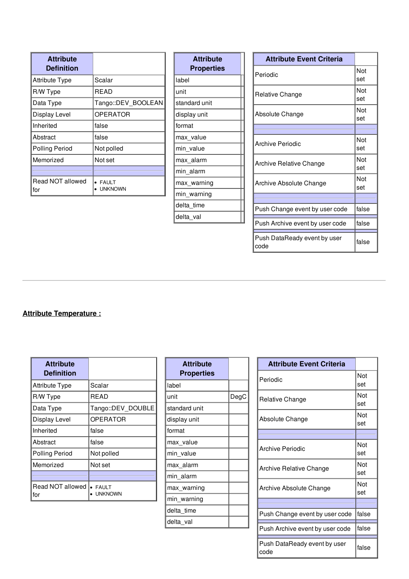| <b>Attribute</b><br><b>Definition</b> |                                |
|---------------------------------------|--------------------------------|
| <b>Attribute Type</b>                 | Scalar                         |
| R/W Type                              | READ                           |
| Data Type                             | Tango::DEV_BOOLEAN             |
| <b>Display Level</b>                  | <b>OPERATOR</b>                |
| Inherited                             | false                          |
| Abstract                              | false                          |
| <b>Polling Period</b>                 | Not polled                     |
| Memorized                             | Not set                        |
|                                       |                                |
| Read NOT allowed<br>for               | <b>FAULT</b><br><b>UNKNOWN</b> |

| <b>Attribute Event Criteria</b>      |            |
|--------------------------------------|------------|
| Periodic                             | Not<br>set |
| Relative Change                      | Not<br>set |
| Absolute Change                      | Not<br>set |
|                                      |            |
| Archive Periodic                     | Not<br>set |
| Archive Relative Change              | Not<br>set |
| Archive Absolute Change              | Not<br>set |
|                                      |            |
| Push Change event by user code       | false      |
| Push Archive event by user code      | false      |
| Push DataReady event by user<br>code | false      |

## **Attribute Temperature :**

| <b>Attribute</b><br><b>Definition</b> |                                |
|---------------------------------------|--------------------------------|
| <b>Attribute Type</b>                 | Scalar                         |
| R/W Type                              | READ                           |
| Data Type                             | Tango::DEV DOUBLE              |
| Display Level                         | <b>OPERATOR</b>                |
| Inherited                             | false                          |
| Abstract                              | false                          |
| <b>Polling Period</b>                 | Not polled                     |
| Memorized                             | Not set                        |
|                                       |                                |
| Read NOT allowed<br>for               | <b>FAULT</b><br><b>JNKNOWN</b> |

| <b>Attribute</b><br><b>Properties</b> |      |
|---------------------------------------|------|
| label                                 |      |
| unit                                  | DegC |
| standard unit                         |      |
| display unit                          |      |
| format                                |      |
| max_value                             |      |
| min value                             |      |
| max_alarm                             |      |
| min alarm                             |      |
| max_warning                           |      |
| min_warning                           |      |
| delta time                            |      |
| delta val                             |      |

| <b>Attribute Event Criteria</b>      |            |
|--------------------------------------|------------|
| Periodic                             | Not<br>set |
| Relative Change                      | Not<br>set |
| Absolute Change                      | Not<br>set |
|                                      |            |
| Archive Periodic                     | Not<br>set |
| Archive Relative Change              | Not<br>set |
| Archive Absolute Change              | Not<br>set |
|                                      |            |
| Push Change event by user code       | false      |
| Push Archive event by user code      | false      |
| Push DataReady event by user<br>code | false      |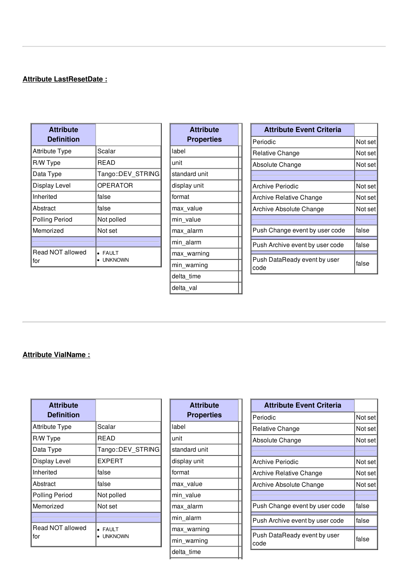## **Attribute LastResetDate :**

| <b>Attribute</b><br><b>Definition</b> |                                |
|---------------------------------------|--------------------------------|
| <b>Attribute Type</b>                 | Scalar                         |
| R/W Type                              | READ                           |
| Data Type                             | Tango::DEV STRING              |
| Display Level                         | <b>OPERATOR</b>                |
| Inherited                             | false                          |
| Abstract                              | false                          |
| <b>Polling Period</b>                 | Not polled                     |
| Memorized                             | Not set                        |
|                                       |                                |
| Read NOT allowed<br>for               | <b>FAULT</b><br><b>UNKNOWN</b> |

| <b>Attribute</b><br><b>Properties</b> |  |
|---------------------------------------|--|
| label                                 |  |
| unit                                  |  |
| standard unit                         |  |
| display unit                          |  |
| format                                |  |
| max value                             |  |
| min value                             |  |
| max_alarm                             |  |
| min alarm                             |  |
| max warning                           |  |
| min_warning                           |  |
| delta time                            |  |
| delta val                             |  |

| <b>Attribute Event Criteria</b>      |         |
|--------------------------------------|---------|
| Periodic                             | Not set |
| Relative Change                      | Not set |
| Absolute Change                      | Not set |
|                                      |         |
| Archive Periodic                     | Not set |
| Archive Relative Change              | Not set |
| Archive Absolute Change              | Not set |
|                                      |         |
| Push Change event by user code       | false   |
| Push Archive event by user code      | false   |
| Push DataReady event by user<br>code | false   |

## **Attribute VialName :**

| <b>Attribute</b><br><b>Definition</b> |                                |
|---------------------------------------|--------------------------------|
| <b>Attribute Type</b>                 | Scalar                         |
| R/W Type                              | <b>READ</b>                    |
| Data Type                             | Tango::DEV STRING              |
| Display Level                         | <b>EXPERT</b>                  |
| Inherited                             | false                          |
| Abstract                              | false                          |
| <b>Polling Period</b>                 | Not polled                     |
| Memorized                             | Not set                        |
|                                       |                                |
| Read NOT allowed<br>for               | <b>FAULT</b><br><b>UNKNOWN</b> |

| <b>Attribute</b><br><b>Properties</b> |
|---------------------------------------|
| label                                 |
| unit                                  |
| standard unit                         |
| display unit                          |
| format                                |
| max_value                             |
| min_value                             |
| max alarm                             |
| min alarm                             |
| max warning                           |
| min_warning                           |
| delta_time                            |

| <b>Attribute Event Criteria</b>      |         |
|--------------------------------------|---------|
| Periodic                             | Not set |
| Relative Change                      | Not set |
| Absolute Change                      | Not set |
|                                      |         |
| Archive Periodic                     | Not set |
| Archive Relative Change              | Not set |
| Archive Absolute Change              | Not set |
|                                      |         |
| Push Change event by user code       | false   |
| Push Archive event by user code      | false   |
| Push DataReady event by user<br>code | false   |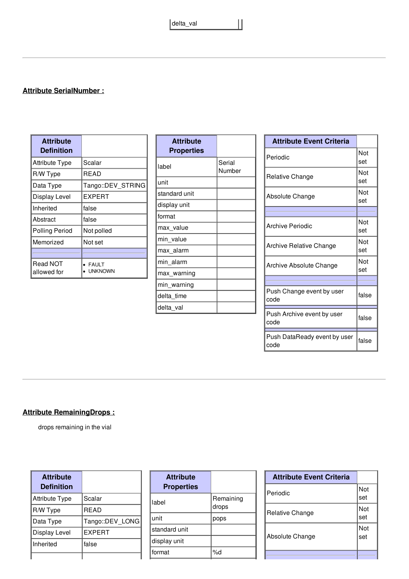delta\_val

 $\mathbf{||}$ 

## **Attribute SerialNumber :**

| <b>Attribute</b><br>Definition |                                |
|--------------------------------|--------------------------------|
| <b>Attribute Type</b>          | Scalar                         |
| R/W Type                       | READ                           |
| Data Type                      | Tango::DEV STRING              |
| Display Level                  | EXPERT                         |
| Inherited                      | false                          |
| Abstract                       | false                          |
| <b>Polling Period</b>          | Not polled                     |
| Memorized                      | Not set                        |
|                                |                                |
| Read NOT<br>allowed for        | <b>FAULT</b><br><b>UNKNOWN</b> |

| <b>Attribute</b><br><b>Properties</b> |                  |
|---------------------------------------|------------------|
| label                                 | Serial<br>Number |
| unit                                  |                  |
| standard unit                         |                  |
| display unit                          |                  |
| format                                |                  |
| max_value                             |                  |
| min value                             |                  |
| max alarm                             |                  |
| min alarm                             |                  |
| max_warning                           |                  |
| min_warning                           |                  |
| delta time                            |                  |
| delta_val                             |                  |

| <b>Attribute Event Criteria</b>      |            |
|--------------------------------------|------------|
| Periodic                             | Not<br>set |
| Relative Change                      | Not<br>set |
| Absolute Change                      | Not<br>set |
|                                      |            |
| <b>Archive Periodic</b>              | Not<br>set |
| Archive Relative Change              | Not<br>set |
| Archive Absolute Change              | Not<br>set |
|                                      |            |
| Push Change event by user<br>code    | false      |
| Push Archive event by user<br>code   | false      |
| Push DataReady event by user<br>code | false      |

## **Attribute RemainingDrops :**

drops remaining in the vial

| <b>Attribute</b><br><b>Definition</b> |                 |
|---------------------------------------|-----------------|
| <b>Attribute Type</b>                 | Scalar          |
| R/W Type                              | <b>READ</b>     |
| Data Type                             | Tango::DEV LONG |
| Display Level                         | <b>EXPERT</b>   |
| Inherited                             | false           |
|                                       |                 |

| Remaining<br>drops |
|--------------------|
| pops               |
|                    |
|                    |
| %d                 |
|                    |

| <b>Attribute Event Criteria</b> |            |
|---------------------------------|------------|
| Periodic                        | Not<br>set |
| Relative Change                 | Not<br>set |
| Absolute Change                 | Not<br>set |
|                                 |            |